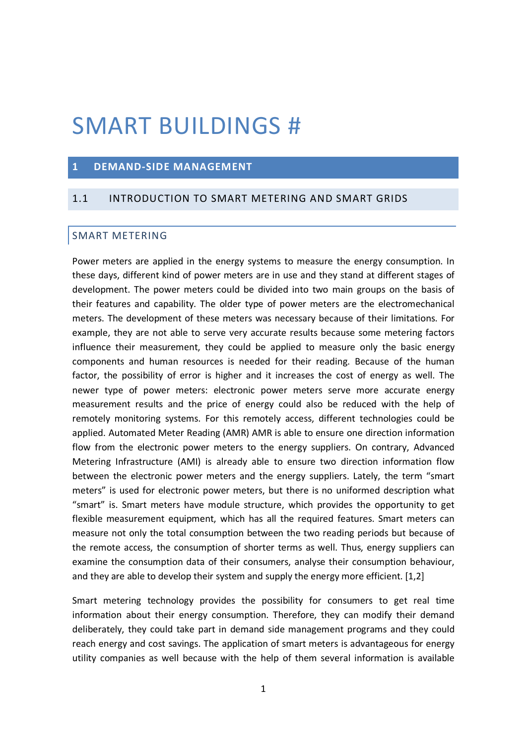# SMART BUILDINGS #

### **1 DEMAND-SIDE MANAGEMENT**

## 1.1 INTRODUCTION TO SMART METERING AND SMART GRIDS

#### SMART METERING

Power meters are applied in the energy systems to measure the energy consumption. In these days, different kind of power meters are in use and they stand at different stages of development. The power meters could be divided into two main groups on the basis of their features and capability. The older type of power meters are the electromechanical meters. The development of these meters was necessary because of their limitations. For example, they are not able to serve very accurate results because some metering factors influence their measurement, they could be applied to measure only the basic energy components and human resources is needed for their reading. Because of the human factor, the possibility of error is higher and it increases the cost of energy as well. The newer type of power meters: electronic power meters serve more accurate energy measurement results and the price of energy could also be reduced with the help of remotely monitoring systems. For this remotely access, different technologies could be applied. Automated Meter Reading (AMR) AMR is able to ensure one direction information flow from the electronic power meters to the energy suppliers. On contrary, Advanced Metering Infrastructure (AMI) is already able to ensure two direction information flow between the electronic power meters and the energy suppliers. Lately, the term "smart meters" is used for electronic power meters, but there is no uniformed description what "smart" is. Smart meters have module structure, which provides the opportunity to get flexible measurement equipment, which has all the required features. Smart meters can measure not only the total consumption between the two reading periods but because of the remote access, the consumption of shorter terms as well. Thus, energy suppliers can examine the consumption data of their consumers, analyse their consumption behaviour, and they are able to develop their system and supply the energy more efficient. [1,2]

Smart metering technology provides the possibility for consumers to get real time information about their energy consumption. Therefore, they can modify their demand deliberately, they could take part in demand side management programs and they could reach energy and cost savings. The application of smart meters is advantageous for energy utility companies as well because with the help of them several information is available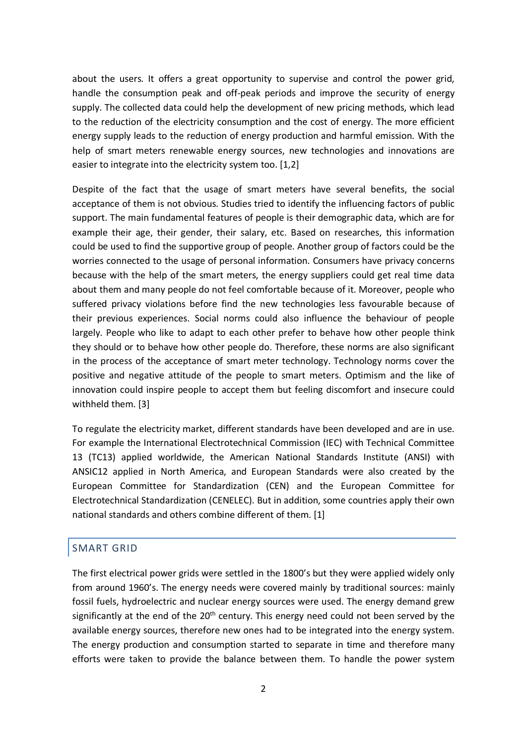about the users. It offers a great opportunity to supervise and control the power grid, handle the consumption peak and off-peak periods and improve the security of energy supply. The collected data could help the development of new pricing methods, which lead to the reduction of the electricity consumption and the cost of energy. The more efficient energy supply leads to the reduction of energy production and harmful emission. With the help of smart meters renewable energy sources, new technologies and innovations are easier to integrate into the electricity system too. [1,2]

Despite of the fact that the usage of smart meters have several benefits, the social acceptance of them is not obvious. Studies tried to identify the influencing factors of public support. The main fundamental features of people is their demographic data, which are for example their age, their gender, their salary, etc. Based on researches, this information could be used to find the supportive group of people. Another group of factors could be the worries connected to the usage of personal information. Consumers have privacy concerns because with the help of the smart meters, the energy suppliers could get real time data about them and many people do not feel comfortable because of it. Moreover, people who suffered privacy violations before find the new technologies less favourable because of their previous experiences. Social norms could also influence the behaviour of people largely. People who like to adapt to each other prefer to behave how other people think they should or to behave how other people do. Therefore, these norms are also significant in the process of the acceptance of smart meter technology. Technology norms cover the positive and negative attitude of the people to smart meters. Optimism and the like of innovation could inspire people to accept them but feeling discomfort and insecure could withheld them. [3]

To regulate the electricity market, different standards have been developed and are in use. For example the International Electrotechnical Commission (IEC) with Technical Committee 13 (TC13) applied worldwide, the American National Standards Institute (ANSI) with ANSIC12 applied in North America, and European Standards were also created by the European Committee for Standardization (CEN) and the European Committee for Electrotechnical Standardization (CENELEC). But in addition, some countries apply their own national standards and others combine different of them. [1]

### SMART GRID

The first electrical power grids were settled in the 1800's but they were applied widely only from around 1960's. The energy needs were covered mainly by traditional sources: mainly fossil fuels, hydroelectric and nuclear energy sources were used. The energy demand grew significantly at the end of the  $20<sup>th</sup>$  century. This energy need could not been served by the available energy sources, therefore new ones had to be integrated into the energy system. The energy production and consumption started to separate in time and therefore many efforts were taken to provide the balance between them. To handle the power system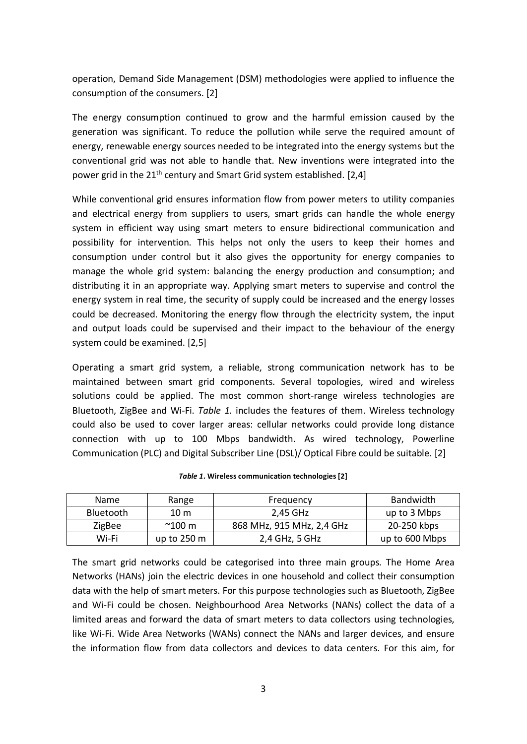operation, Demand Side Management (DSM) methodologies were applied to influence the consumption of the consumers. [2]

The energy consumption continued to grow and the harmful emission caused by the generation was significant. To reduce the pollution while serve the required amount of energy, renewable energy sources needed to be integrated into the energy systems but the conventional grid was not able to handle that. New inventions were integrated into the power grid in the  $21<sup>th</sup>$  century and Smart Grid system established. [2,4]

While conventional grid ensures information flow from power meters to utility companies and electrical energy from suppliers to users, smart grids can handle the whole energy system in efficient way using smart meters to ensure bidirectional communication and possibility for intervention. This helps not only the users to keep their homes and consumption under control but it also gives the opportunity for energy companies to manage the whole grid system: balancing the energy production and consumption; and distributing it in an appropriate way. Applying smart meters to supervise and control the energy system in real time, the security of supply could be increased and the energy losses could be decreased. Monitoring the energy flow through the electricity system, the input and output loads could be supervised and their impact to the behaviour of the energy system could be examined. [2,5]

Operating a smart grid system, a reliable, strong communication network has to be maintained between smart grid components. Several topologies, wired and wireless solutions could be applied. The most common short-range wireless technologies are Bluetooth, ZigBee and Wi-Fi. *Table 1.* includes the features of them. Wireless technology could also be used to cover larger areas: cellular networks could provide long distance connection with up to 100 Mbps bandwidth. As wired technology, Powerline Communication (PLC) and Digital Subscriber Line (DSL)/ Optical Fibre could be suitable. [2]

| Name          | Range                 | Frequency                 | Bandwidth      |
|---------------|-----------------------|---------------------------|----------------|
| Bluetooth     | 10 <sub>m</sub>       | 2.45 GHz                  | up to 3 Mbps   |
| <b>ZigBee</b> | $^{\sim}$ 100 m       | 868 MHz, 915 MHz, 2,4 GHz | 20-250 kbps    |
| Wi-Fi         | up to $250 \text{ m}$ | 2,4 GHz, 5 GHz            | up to 600 Mbps |

*Table 1***. Wireless communication technologies [2]**

The smart grid networks could be categorised into three main groups. The Home Area Networks (HANs) join the electric devices in one household and collect their consumption data with the help of smart meters. For this purpose technologies such as Bluetooth, ZigBee and Wi-Fi could be chosen. Neighbourhood Area Networks (NANs) collect the data of a limited areas and forward the data of smart meters to data collectors using technologies, like Wi-Fi. Wide Area Networks (WANs) connect the NANs and larger devices, and ensure the information flow from data collectors and devices to data centers. For this aim, for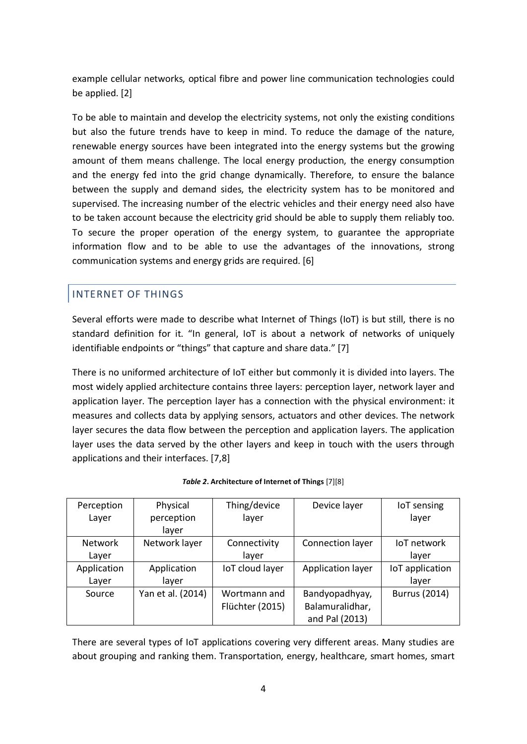example cellular networks, optical fibre and power line communication technologies could be applied. [2]

To be able to maintain and develop the electricity systems, not only the existing conditions but also the future trends have to keep in mind. To reduce the damage of the nature, renewable energy sources have been integrated into the energy systems but the growing amount of them means challenge. The local energy production, the energy consumption and the energy fed into the grid change dynamically. Therefore, to ensure the balance between the supply and demand sides, the electricity system has to be monitored and supervised. The increasing number of the electric vehicles and their energy need also have to be taken account because the electricity grid should be able to supply them reliably too. To secure the proper operation of the energy system, to guarantee the appropriate information flow and to be able to use the advantages of the innovations, strong communication systems and energy grids are required. [6]

## INTERNET OF THINGS

Several efforts were made to describe what Internet of Things (IoT) is but still, there is no standard definition for it. "In general, IoT is about a network of networks of uniquely identifiable endpoints or "things" that capture and share data." [7]

There is no uniformed architecture of IoT either but commonly it is divided into layers. The most widely applied architecture contains three layers: perception layer, network layer and application layer. The perception layer has a connection with the physical environment: it measures and collects data by applying sensors, actuators and other devices. The network layer secures the data flow between the perception and application layers. The application layer uses the data served by the other layers and keep in touch with the users through applications and their interfaces. [7,8]

| Perception<br>Layer     | Physical<br>perception<br>laver | Thing/device<br>layer           | Device layer                                        | <b>IoT</b> sensing<br>laver |
|-------------------------|---------------------------------|---------------------------------|-----------------------------------------------------|-----------------------------|
| <b>Network</b><br>Layer | Network layer                   | Connectivity<br>layer           | Connection layer                                    | loT network<br>layer        |
| Application<br>Layer    | Application<br>layer            | IoT cloud layer                 | Application layer                                   | IoT application<br>layer    |
| Source                  | Yan et al. (2014)               | Wortmann and<br>Flüchter (2015) | Bandyopadhyay,<br>Balamuralidhar,<br>and Pal (2013) | <b>Burrus (2014)</b>        |

| Table 2. Architecture of Internet of Things [7][8] |  |
|----------------------------------------------------|--|
|----------------------------------------------------|--|

There are several types of IoT applications covering very different areas. Many studies are about grouping and ranking them. Transportation, energy, healthcare, smart homes, smart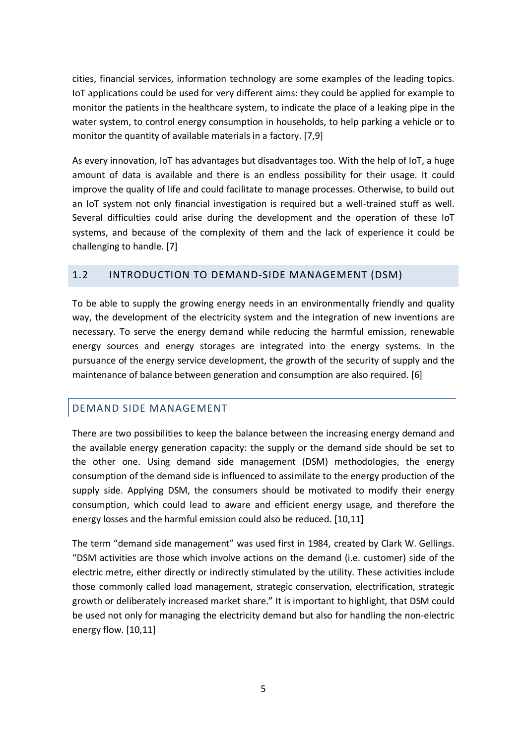cities, financial services, information technology are some examples of the leading topics. IoT applications could be used for very different aims: they could be applied for example to monitor the patients in the healthcare system, to indicate the place of a leaking pipe in the water system, to control energy consumption in households, to help parking a vehicle or to monitor the quantity of available materials in a factory. [7,9]

As every innovation, IoT has advantages but disadvantages too. With the help of IoT, a huge amount of data is available and there is an endless possibility for their usage. It could improve the quality of life and could facilitate to manage processes. Otherwise, to build out an IoT system not only financial investigation is required but a well-trained stuff as well. Several difficulties could arise during the development and the operation of these IoT systems, and because of the complexity of them and the lack of experience it could be challenging to handle. [7]

### 1.2 INTRODUCTION TO DEMAND-SIDE MANAGEMENT (DSM)

To be able to supply the growing energy needs in an environmentally friendly and quality way, the development of the electricity system and the integration of new inventions are necessary. To serve the energy demand while reducing the harmful emission, renewable energy sources and energy storages are integrated into the energy systems. In the pursuance of the energy service development, the growth of the security of supply and the maintenance of balance between generation and consumption are also required. [6]

## DEMAND SIDE MANAGEMENT

There are two possibilities to keep the balance between the increasing energy demand and the available energy generation capacity: the supply or the demand side should be set to the other one. Using demand side management (DSM) methodologies, the energy consumption of the demand side is influenced to assimilate to the energy production of the supply side. Applying DSM, the consumers should be motivated to modify their energy consumption, which could lead to aware and efficient energy usage, and therefore the energy losses and the harmful emission could also be reduced. [10,11]

The term "demand side management" was used first in 1984, created by Clark W. Gellings. "DSM activities are those which involve actions on the demand (i.e. customer) side of the electric metre, either directly or indirectly stimulated by the utility. These activities include those commonly called load management, strategic conservation, electrification, strategic growth or deliberately increased market share." It is important to highlight, that DSM could be used not only for managing the electricity demand but also for handling the non-electric energy flow. [10,11]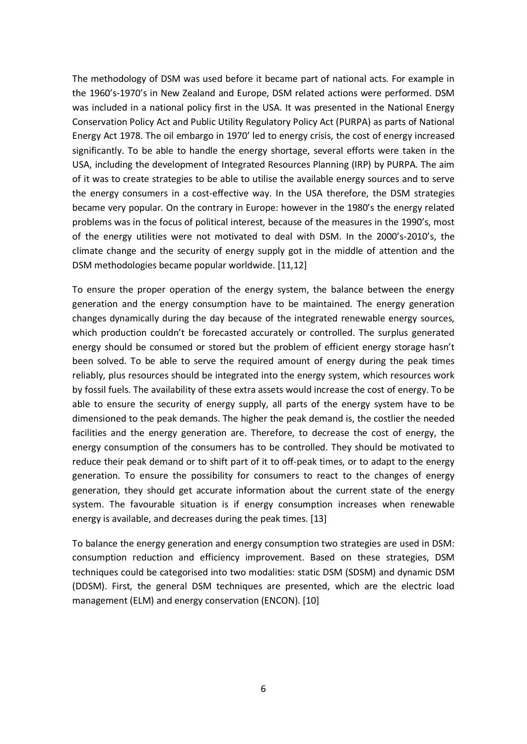The methodology of DSM was used before it became part of national acts. For example in the 1960's-1970's in New Zealand and Europe, DSM related actions were performed. DSM was included in a national policy first in the USA. It was presented in the National Energy Conservation Policy Act and Public Utility Regulatory Policy Act (PURPA) as parts of National Energy Act 1978. The oil embargo in 1970' led to energy crisis, the cost of energy increased significantly. To be able to handle the energy shortage, several efforts were taken in the USA, including the development of Integrated Resources Planning (IRP) by PURPA. The aim of it was to create strategies to be able to utilise the available energy sources and to serve the energy consumers in a cost-effective way. In the USA therefore, the DSM strategies became very popular. On the contrary in Europe: however in the 1980's the energy related problems was in the focus of political interest, because of the measures in the 1990's, most of the energy utilities were not motivated to deal with DSM. In the 2000's-2010's, the climate change and the security of energy supply got in the middle of attention and the DSM methodologies became popular worldwide. [11,12]

To ensure the proper operation of the energy system, the balance between the energy generation and the energy consumption have to be maintained. The energy generation changes dynamically during the day because of the integrated renewable energy sources, which production couldn't be forecasted accurately or controlled. The surplus generated energy should be consumed or stored but the problem of efficient energy storage hasn't been solved. To be able to serve the required amount of energy during the peak times reliably, plus resources should be integrated into the energy system, which resources work by fossil fuels. The availability of these extra assets would increase the cost of energy. To be able to ensure the security of energy supply, all parts of the energy system have to be dimensioned to the peak demands. The higher the peak demand is, the costlier the needed facilities and the energy generation are. Therefore, to decrease the cost of energy, the energy consumption of the consumers has to be controlled. They should be motivated to reduce their peak demand or to shift part of it to off-peak times, or to adapt to the energy generation. To ensure the possibility for consumers to react to the changes of energy generation, they should get accurate information about the current state of the energy system. The favourable situation is if energy consumption increases when renewable energy is available, and decreases during the peak times. [13]

To balance the energy generation and energy consumption two strategies are used in DSM: consumption reduction and efficiency improvement. Based on these strategies, DSM techniques could be categorised into two modalities: static DSM (SDSM) and dynamic DSM (DDSM). First, the general DSM techniques are presented, which are the electric load management (ELM) and energy conservation (ENCON). [10]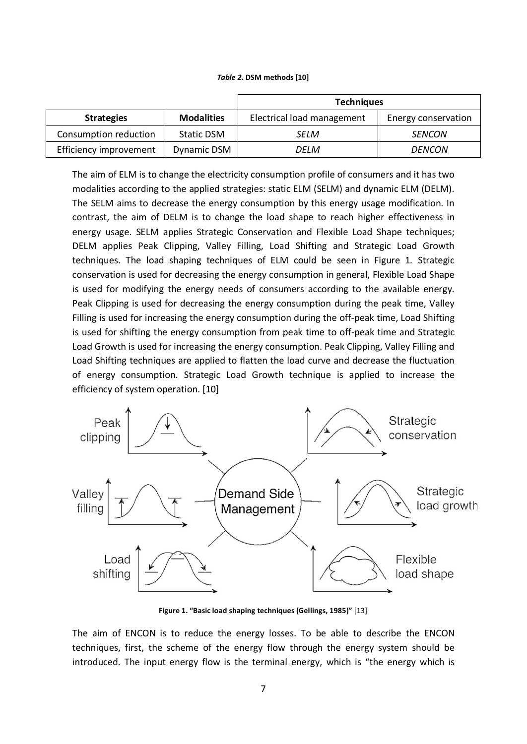#### *Table 2***. DSM methods [10]**

|                        |                   | <b>Techniques</b>          |                     |  |
|------------------------|-------------------|----------------------------|---------------------|--|
| <b>Strategies</b>      | <b>Modalities</b> | Electrical load management | Energy conservation |  |
| Consumption reduction  | Static DSM        | SFI M                      | <b>SENCON</b>       |  |
| Efficiency improvement | Dynamic DSM       | DELM                       | DENCON              |  |

The aim of ELM is to change the electricity consumption profile of consumers and it has two modalities according to the applied strategies: static ELM (SELM) and dynamic ELM (DELM). The SELM aims to decrease the energy consumption by this energy usage modification. In contrast, the aim of DELM is to change the load shape to reach higher effectiveness in energy usage. SELM applies Strategic Conservation and Flexible Load Shape techniques; DELM applies Peak Clipping, Valley Filling, Load Shifting and Strategic Load Growth techniques. The load shaping techniques of ELM could be seen in Figure 1*.* Strategic conservation is used for decreasing the energy consumption in general, Flexible Load Shape is used for modifying the energy needs of consumers according to the available energy. Peak Clipping is used for decreasing the energy consumption during the peak time, Valley Filling is used for increasing the energy consumption during the off-peak time, Load Shifting is used for shifting the energy consumption from peak time to off-peak time and Strategic Load Growth is used for increasing the energy consumption. Peak Clipping, Valley Filling and Load Shifting techniques are applied to flatten the load curve and decrease the fluctuation of energy consumption. Strategic Load Growth technique is applied to increase the efficiency of system operation. [10]



**Figure 1. "Basic load shaping techniques (Gellings, 1985)"** [13]

The aim of ENCON is to reduce the energy losses. To be able to describe the ENCON techniques, first, the scheme of the energy flow through the energy system should be introduced. The input energy flow is the terminal energy, which is "the energy which is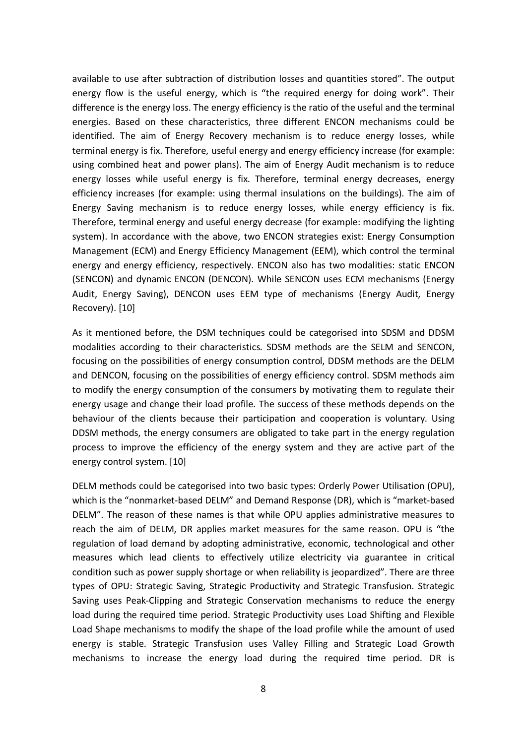available to use after subtraction of distribution losses and quantities stored". The output energy flow is the useful energy, which is "the required energy for doing work". Their difference is the energy loss. The energy efficiency is the ratio of the useful and the terminal energies. Based on these characteristics, three different ENCON mechanisms could be identified. The aim of Energy Recovery mechanism is to reduce energy losses, while terminal energy is fix. Therefore, useful energy and energy efficiency increase (for example: using combined heat and power plans). The aim of Energy Audit mechanism is to reduce energy losses while useful energy is fix. Therefore, terminal energy decreases, energy efficiency increases (for example: using thermal insulations on the buildings). The aim of Energy Saving mechanism is to reduce energy losses, while energy efficiency is fix. Therefore, terminal energy and useful energy decrease (for example: modifying the lighting system). In accordance with the above, two ENCON strategies exist: Energy Consumption Management (ECM) and Energy Efficiency Management (EEM), which control the terminal energy and energy efficiency, respectively. ENCON also has two modalities: static ENCON (SENCON) and dynamic ENCON (DENCON). While SENCON uses ECM mechanisms (Energy Audit, Energy Saving), DENCON uses EEM type of mechanisms (Energy Audit, Energy Recovery). [10]

As it mentioned before, the DSM techniques could be categorised into SDSM and DDSM modalities according to their characteristics. SDSM methods are the SELM and SENCON, focusing on the possibilities of energy consumption control, DDSM methods are the DELM and DENCON, focusing on the possibilities of energy efficiency control. SDSM methods aim to modify the energy consumption of the consumers by motivating them to regulate their energy usage and change their load profile. The success of these methods depends on the behaviour of the clients because their participation and cooperation is voluntary. Using DDSM methods, the energy consumers are obligated to take part in the energy regulation process to improve the efficiency of the energy system and they are active part of the energy control system. [10]

DELM methods could be categorised into two basic types: Orderly Power Utilisation (OPU), which is the "nonmarket-based DELM" and Demand Response (DR), which is "market-based DELM". The reason of these names is that while OPU applies administrative measures to reach the aim of DELM, DR applies market measures for the same reason. OPU is "the regulation of load demand by adopting administrative, economic, technological and other measures which lead clients to effectively utilize electricity via guarantee in critical condition such as power supply shortage or when reliability is jeopardized". There are three types of OPU: Strategic Saving, Strategic Productivity and Strategic Transfusion. Strategic Saving uses Peak-Clipping and Strategic Conservation mechanisms to reduce the energy load during the required time period. Strategic Productivity uses Load Shifting and Flexible Load Shape mechanisms to modify the shape of the load profile while the amount of used energy is stable. Strategic Transfusion uses Valley Filling and Strategic Load Growth mechanisms to increase the energy load during the required time period. DR is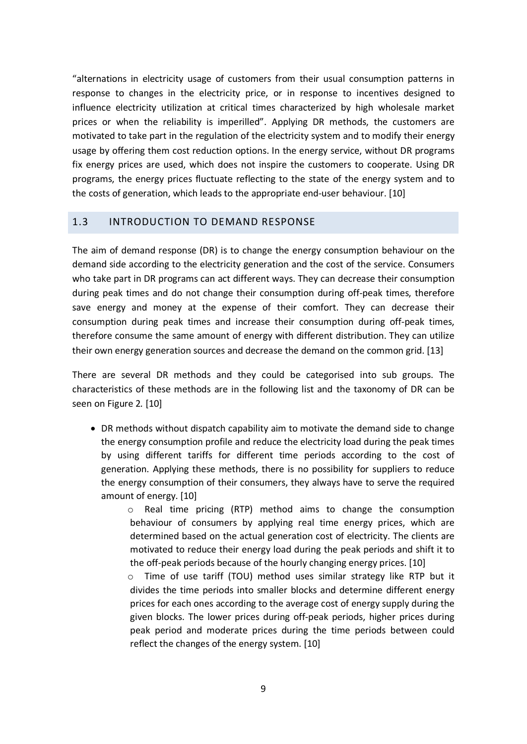"alternations in electricity usage of customers from their usual consumption patterns in response to changes in the electricity price, or in response to incentives designed to influence electricity utilization at critical times characterized by high wholesale market prices or when the reliability is imperilled". Applying DR methods, the customers are motivated to take part in the regulation of the electricity system and to modify their energy usage by offering them cost reduction options. In the energy service, without DR programs fix energy prices are used, which does not inspire the customers to cooperate. Using DR programs, the energy prices fluctuate reflecting to the state of the energy system and to the costs of generation, which leads to the appropriate end-user behaviour. [10]

## 1.3 INTRODUCTION TO DEMAND RESPONSE

The aim of demand response (DR) is to change the energy consumption behaviour on the demand side according to the electricity generation and the cost of the service. Consumers who take part in DR programs can act different ways. They can decrease their consumption during peak times and do not change their consumption during off-peak times, therefore save energy and money at the expense of their comfort. They can decrease their consumption during peak times and increase their consumption during off-peak times, therefore consume the same amount of energy with different distribution. They can utilize their own energy generation sources and decrease the demand on the common grid. [13]

There are several DR methods and they could be categorised into sub groups. The characteristics of these methods are in the following list and the taxonomy of DR can be seen on Figure 2*.* [10]

• DR methods without dispatch capability aim to motivate the demand side to change the energy consumption profile and reduce the electricity load during the peak times by using different tariffs for different time periods according to the cost of generation. Applying these methods, there is no possibility for suppliers to reduce the energy consumption of their consumers, they always have to serve the required amount of energy. [10]

o Real time pricing (RTP) method aims to change the consumption behaviour of consumers by applying real time energy prices, which are determined based on the actual generation cost of electricity. The clients are motivated to reduce their energy load during the peak periods and shift it to the off-peak periods because of the hourly changing energy prices. [10]

o Time of use tariff (TOU) method uses similar strategy like RTP but it divides the time periods into smaller blocks and determine different energy prices for each ones according to the average cost of energy supply during the given blocks. The lower prices during off-peak periods, higher prices during peak period and moderate prices during the time periods between could reflect the changes of the energy system. [10]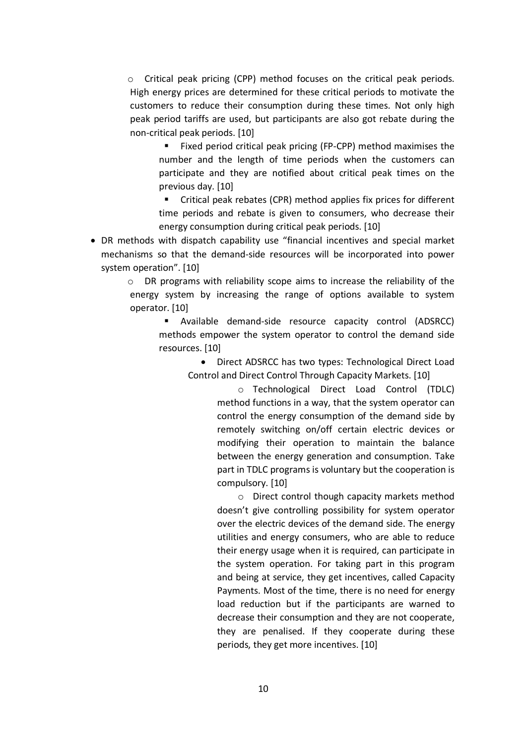$\circ$  Critical peak pricing (CPP) method focuses on the critical peak periods. High energy prices are determined for these critical periods to motivate the customers to reduce their consumption during these times. Not only high peak period tariffs are used, but participants are also got rebate during the non-critical peak periods. [10]

■ Fixed period critical peak pricing (FP-CPP) method maximises the number and the length of time periods when the customers can participate and they are notified about critical peak times on the previous day. [10]

■ Critical peak rebates (CPR) method applies fix prices for different time periods and rebate is given to consumers, who decrease their energy consumption during critical peak periods. [10]

• DR methods with dispatch capability use "financial incentives and special market mechanisms so that the demand-side resources will be incorporated into power system operation". [10]

o DR programs with reliability scope aims to increase the reliability of the energy system by increasing the range of options available to system operator. [10]

§ Available demand-side resource capacity control (ADSRCC) methods empower the system operator to control the demand side resources. [10]

• Direct ADSRCC has two types: Technological Direct Load Control and Direct Control Through Capacity Markets. [10]

> o Technological Direct Load Control (TDLC) method functions in a way, that the system operator can control the energy consumption of the demand side by remotely switching on/off certain electric devices or modifying their operation to maintain the balance between the energy generation and consumption. Take part in TDLC programs is voluntary but the cooperation is compulsory. [10]

> o Direct control though capacity markets method doesn't give controlling possibility for system operator over the electric devices of the demand side. The energy utilities and energy consumers, who are able to reduce their energy usage when it is required, can participate in the system operation. For taking part in this program and being at service, they get incentives, called Capacity Payments. Most of the time, there is no need for energy load reduction but if the participants are warned to decrease their consumption and they are not cooperate, they are penalised. If they cooperate during these periods, they get more incentives. [10]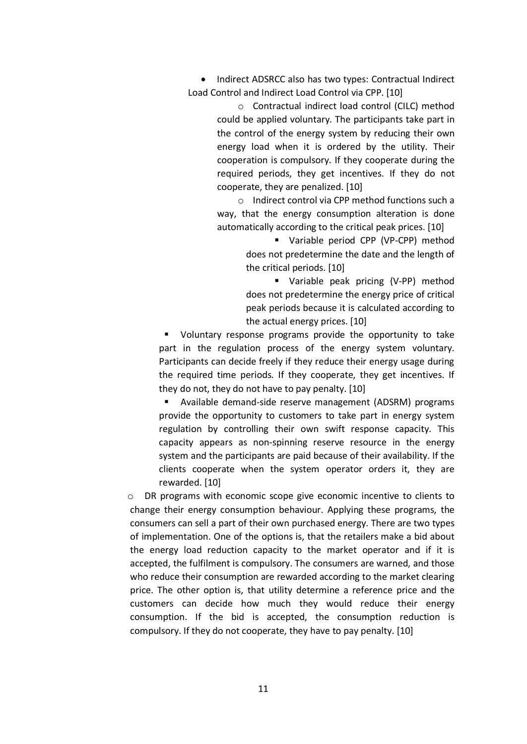• Indirect ADSRCC also has two types: Contractual Indirect Load Control and Indirect Load Control via CPP. [10]

> o Contractual indirect load control (CILC) method could be applied voluntary. The participants take part in the control of the energy system by reducing their own energy load when it is ordered by the utility. Their cooperation is compulsory. If they cooperate during the required periods, they get incentives. If they do not cooperate, they are penalized. [10]

> o Indirect control via CPP method functions such a way, that the energy consumption alteration is done automatically according to the critical peak prices. [10]

> > § Variable period CPP (VP-CPP) method does not predetermine the date and the length of the critical periods. [10]

> > § Variable peak pricing (V-PP) method does not predetermine the energy price of critical peak periods because it is calculated according to the actual energy prices. [10]

§ Voluntary response programs provide the opportunity to take part in the regulation process of the energy system voluntary. Participants can decide freely if they reduce their energy usage during the required time periods. If they cooperate, they get incentives. If they do not, they do not have to pay penalty. [10]

§ Available demand-side reserve management (ADSRM) programs provide the opportunity to customers to take part in energy system regulation by controlling their own swift response capacity. This capacity appears as non-spinning reserve resource in the energy system and the participants are paid because of their availability. If the clients cooperate when the system operator orders it, they are rewarded. [10]

o DR programs with economic scope give economic incentive to clients to change their energy consumption behaviour. Applying these programs, the consumers can sell a part of their own purchased energy. There are two types of implementation. One of the options is, that the retailers make a bid about the energy load reduction capacity to the market operator and if it is accepted, the fulfilment is compulsory. The consumers are warned, and those who reduce their consumption are rewarded according to the market clearing price. The other option is, that utility determine a reference price and the customers can decide how much they would reduce their energy consumption. If the bid is accepted, the consumption reduction is compulsory. If they do not cooperate, they have to pay penalty. [10]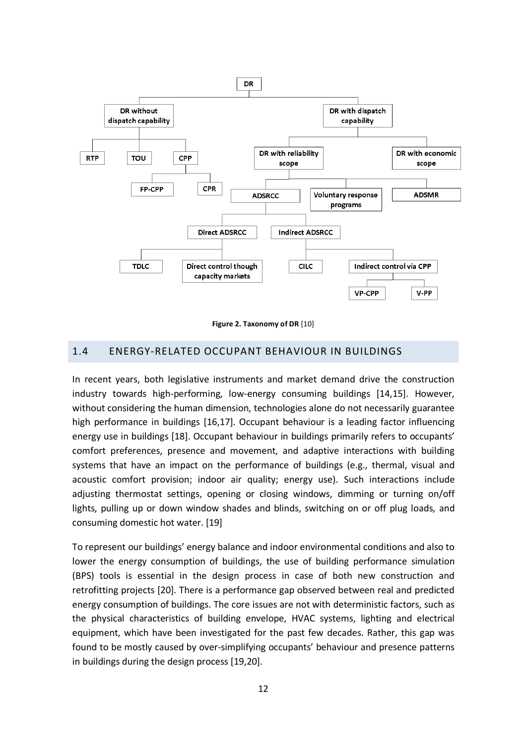

**Figure 2. Taxonomy of DR** [10]

#### 1.4 ENERGY-RELATED OCCUPANT BEHAVIOUR IN BUILDINGS

In recent years, both legislative instruments and market demand drive the construction industry towards high-performing, low-energy consuming buildings [14,15]. However, without considering the human dimension, technologies alone do not necessarily guarantee high performance in buildings [16,17]. Occupant behaviour is a leading factor influencing energy use in buildings [18]. Occupant behaviour in buildings primarily refers to occupants' comfort preferences, presence and movement, and adaptive interactions with building systems that have an impact on the performance of buildings (e.g., thermal, visual and acoustic comfort provision; indoor air quality; energy use). Such interactions include adjusting thermostat settings, opening or closing windows, dimming or turning on/off lights, pulling up or down window shades and blinds, switching on or off plug loads, and consuming domestic hot water. [19]

To represent our buildings' energy balance and indoor environmental conditions and also to lower the energy consumption of buildings, the use of building performance simulation (BPS) tools is essential in the design process in case of both new construction and retrofitting projects [20]. There is a performance gap observed between real and predicted energy consumption of buildings. The core issues are not with deterministic factors, such as the physical characteristics of building envelope, HVAC systems, lighting and electrical equipment, which have been investigated for the past few decades. Rather, this gap was found to be mostly caused by over-simplifying occupants' behaviour and presence patterns in buildings during the design process [19,20].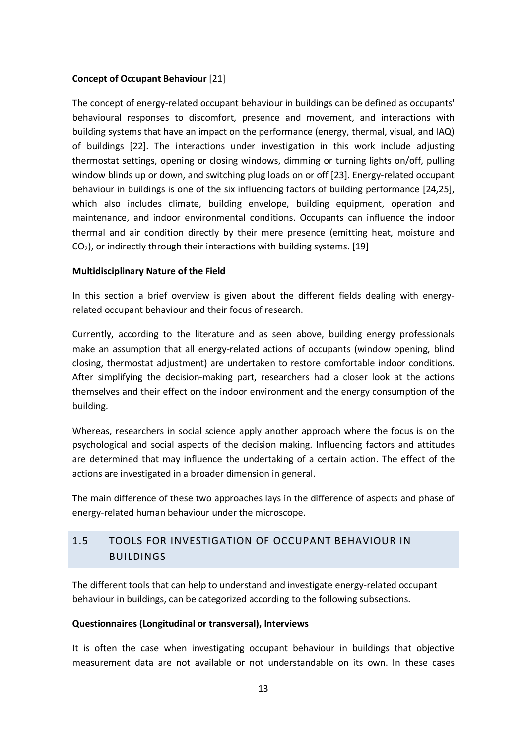### **Concept of Occupant Behaviour** [21]

The concept of energy-related occupant behaviour in buildings can be defined as occupants' behavioural responses to discomfort, presence and movement, and interactions with building systems that have an impact on the performance (energy, thermal, visual, and IAQ) of buildings [22]. The interactions under investigation in this work include adjusting thermostat settings, opening or closing windows, dimming or turning lights on/off, pulling window blinds up or down, and switching plug loads on or off [23]. Energy-related occupant behaviour in buildings is one of the six influencing factors of building performance [24,25], which also includes climate, building envelope, building equipment, operation and maintenance, and indoor environmental conditions. Occupants can influence the indoor thermal and air condition directly by their mere presence (emitting heat, moisture and  $CO<sub>2</sub>$ ), or indirectly through their interactions with building systems. [19]

### **Multidisciplinary Nature of the Field**

In this section a brief overview is given about the different fields dealing with energyrelated occupant behaviour and their focus of research.

Currently, according to the literature and as seen above, building energy professionals make an assumption that all energy-related actions of occupants (window opening, blind closing, thermostat adjustment) are undertaken to restore comfortable indoor conditions. After simplifying the decision-making part, researchers had a closer look at the actions themselves and their effect on the indoor environment and the energy consumption of the building.

Whereas, researchers in social science apply another approach where the focus is on the psychological and social aspects of the decision making. Influencing factors and attitudes are determined that may influence the undertaking of a certain action. The effect of the actions are investigated in a broader dimension in general.

The main difference of these two approaches lays in the difference of aspects and phase of energy-related human behaviour under the microscope.

# 1.5 TOOLS FOR INVESTIGATION OF OCCUPANT BEHAVIOUR IN BUILDINGS

The different tools that can help to understand and investigate energy-related occupant behaviour in buildings, can be categorized according to the following subsections.

### **Questionnaires (Longitudinal or transversal), Interviews**

It is often the case when investigating occupant behaviour in buildings that objective measurement data are not available or not understandable on its own. In these cases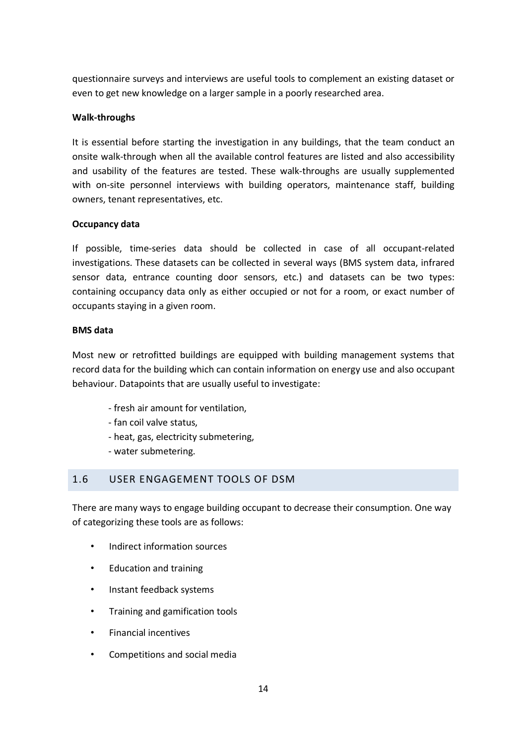questionnaire surveys and interviews are useful tools to complement an existing dataset or even to get new knowledge on a larger sample in a poorly researched area.

#### **Walk-throughs**

It is essential before starting the investigation in any buildings, that the team conduct an onsite walk-through when all the available control features are listed and also accessibility and usability of the features are tested. These walk-throughs are usually supplemented with on-site personnel interviews with building operators, maintenance staff, building owners, tenant representatives, etc.

#### **Occupancy data**

If possible, time-series data should be collected in case of all occupant-related investigations. These datasets can be collected in several ways (BMS system data, infrared sensor data, entrance counting door sensors, etc.) and datasets can be two types: containing occupancy data only as either occupied or not for a room, or exact number of occupants staying in a given room.

#### **BMS data**

Most new or retrofitted buildings are equipped with building management systems that record data for the building which can contain information on energy use and also occupant behaviour. Datapoints that are usually useful to investigate:

- fresh air amount for ventilation,
- fan coil valve status,
- heat, gas, electricity submetering,
- water submetering.

## 1.6 USER ENGAGEMENT TOOLS OF DSM

There are many ways to engage building occupant to decrease their consumption. One way of categorizing these tools are as follows:

- Indirect information sources
- Education and training
- Instant feedback systems
- Training and gamification tools
- Financial incentives
- Competitions and social media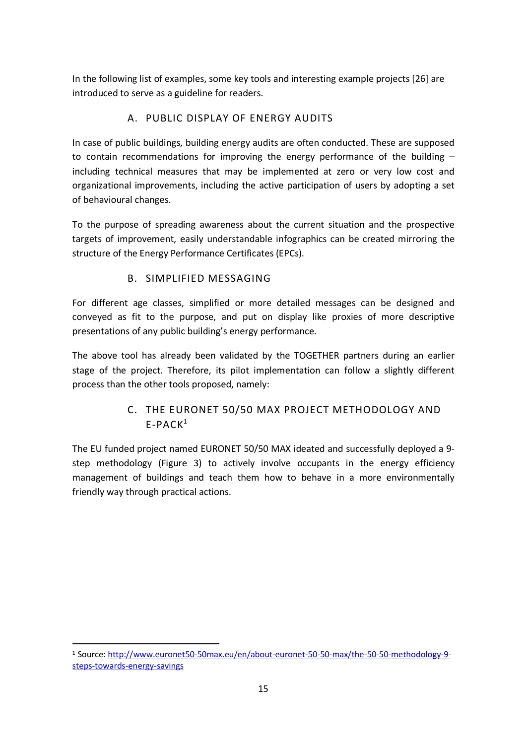In the following list of examples, some key tools and interesting example projects [26] are introduced to serve as a guideline for readers.

# A. PUBLIC DISPLAY OF ENERGY AUDITS

In case of public buildings, building energy audits are often conducted. These are supposed to contain recommendations for improving the energy performance of the building  $$ including technical measures that may be implemented at zero or very low cost and organizational improvements, including the active participation of users by adopting a set of behavioural changes.

To the purpose of spreading awareness about the current situation and the prospective targets of improvement, easily understandable infographics can be created mirroring the structure of the Energy Performance Certificates (EPCs).

## B. SIMPLIFIED MESSAGING

For different age classes, simplified or more detailed messages can be designed and conveyed as fit to the purpose, and put on display like proxies of more descriptive presentations of any public building's energy performance.

The above tool has already been validated by the TOGETHER partners during an earlier stage of the project. Therefore, its pilot implementation can follow a slightly different process than the other tools proposed, namely:

# C. THE EURONET 50/50 MAX PROJECT METHODOLOGY AND  $F-PACK<sup>1</sup>$

The EU funded project named EURONET 50/50 MAX ideated and successfully deployed a 9 step methodology (Figure 3) to actively involve occupants in the energy efficiency management of buildings and teach them how to behave in a more environmentally friendly way through practical actions.

 <sup>1</sup> Source: http://www.euronet50-50max.eu/en/about-euronet-50-50-max/the-50-50-methodology-9 steps-towards-energy-savings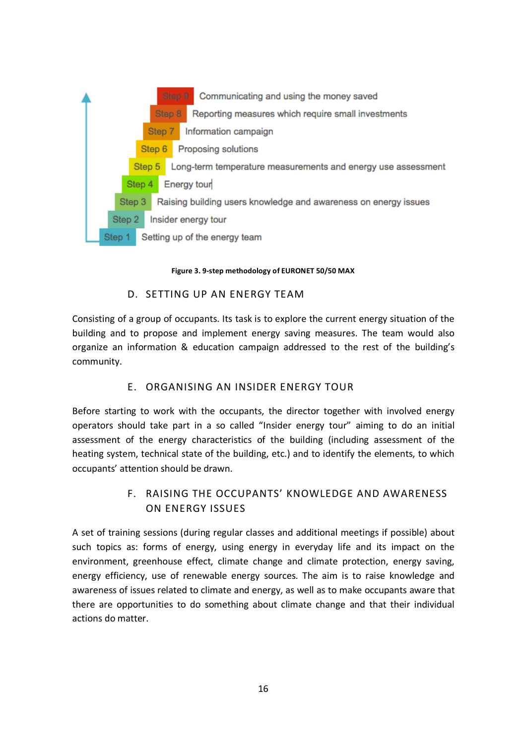

#### **Figure 3. 9-step methodology of EURONET 50/50 MAX**

### D. SETTING UP AN ENERGY TEAM

Consisting of a group of occupants. Its task is to explore the current energy situation of the building and to propose and implement energy saving measures. The team would also organize an information & education campaign addressed to the rest of the building's community.

## E. ORGANISING AN INSIDER ENERGY TOUR

Before starting to work with the occupants, the director together with involved energy operators should take part in a so called "Insider energy tour" aiming to do an initial assessment of the energy characteristics of the building (including assessment of the heating system, technical state of the building, etc.) and to identify the elements, to which occupants' attention should be drawn.

## F. RAISING THE OCCUPANTS' KNOWLEDGE AND AWARENESS ON ENERGY ISSUES

A set of training sessions (during regular classes and additional meetings if possible) about such topics as: forms of energy, using energy in everyday life and its impact on the environment, greenhouse effect, climate change and climate protection, energy saving, energy efficiency, use of renewable energy sources. The aim is to raise knowledge and awareness of issues related to climate and energy, as well as to make occupants aware that there are opportunities to do something about climate change and that their individual actions do matter.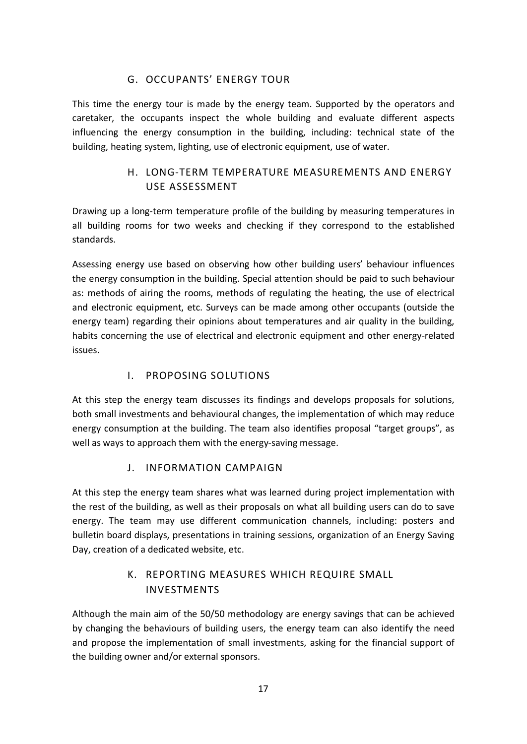## G. OCCUPANTS' ENERGY TOUR

This time the energy tour is made by the energy team. Supported by the operators and caretaker, the occupants inspect the whole building and evaluate different aspects influencing the energy consumption in the building, including: technical state of the building, heating system, lighting, use of electronic equipment, use of water.

# H. LONG-TERM TEMPERATURE MEASUREMENTS AND ENERGY USE ASSESSMENT

Drawing up a long-term temperature profile of the building by measuring temperatures in all building rooms for two weeks and checking if they correspond to the established standards.

Assessing energy use based on observing how other building users' behaviour influences the energy consumption in the building. Special attention should be paid to such behaviour as: methods of airing the rooms, methods of regulating the heating, the use of electrical and electronic equipment, etc. Surveys can be made among other occupants (outside the energy team) regarding their opinions about temperatures and air quality in the building, habits concerning the use of electrical and electronic equipment and other energy-related issues.

## I. PROPOSING SOLUTIONS

At this step the energy team discusses its findings and develops proposals for solutions, both small investments and behavioural changes, the implementation of which may reduce energy consumption at the building. The team also identifies proposal "target groups", as well as ways to approach them with the energy-saving message.

## J. INFORMATION CAMPAIGN

At this step the energy team shares what was learned during project implementation with the rest of the building, as well as their proposals on what all building users can do to save energy. The team may use different communication channels, including: posters and bulletin board displays, presentations in training sessions, organization of an Energy Saving Day, creation of a dedicated website, etc.

## K. REPORTING MEASURES WHICH REQUIRE SMALL INVESTMENTS

Although the main aim of the 50/50 methodology are energy savings that can be achieved by changing the behaviours of building users, the energy team can also identify the need and propose the implementation of small investments, asking for the financial support of the building owner and/or external sponsors.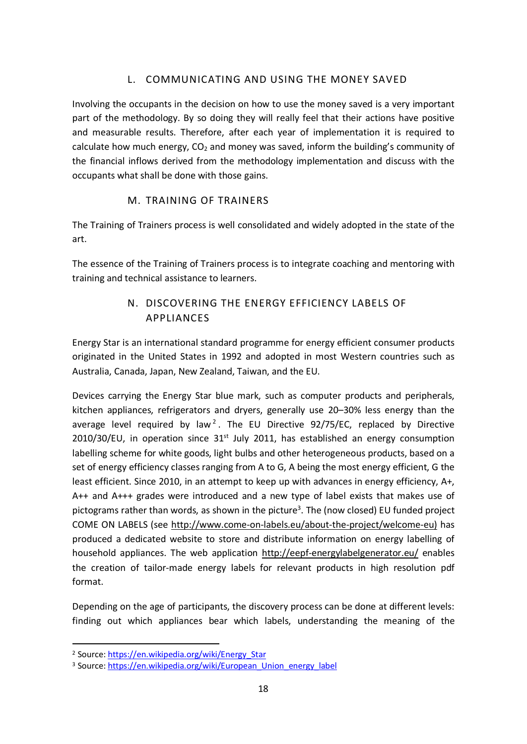## L. COMMUNICATING AND USING THE MONEY SAVED

Involving the occupants in the decision on how to use the money saved is a very important part of the methodology. By so doing they will really feel that their actions have positive and measurable results. Therefore, after each year of implementation it is required to calculate how much energy,  $CO<sub>2</sub>$  and money was saved, inform the building's community of the financial inflows derived from the methodology implementation and discuss with the occupants what shall be done with those gains.

## M. TRAINING OF TRAINERS

The Training of Trainers process is well consolidated and widely adopted in the state of the art.

The essence of the Training of Trainers process is to integrate coaching and mentoring with training and technical assistance to learners.

# N. DISCOVERING THE ENERGY EFFICIENCY LABELS OF APPLIANCES

Energy Star is an international standard programme for energy efficient consumer products originated in the United States in 1992 and adopted in most Western countries such as Australia, Canada, Japan, New Zealand, Taiwan, and the EU.

Devices carrying the Energy Star blue mark, such as computer products and peripherals, kitchen appliances, refrigerators and dryers, generally use 20–30% less energy than the average level required by law<sup>2</sup>. The EU Directive 92/75/EC, replaced by Directive  $2010/30/EU$ , in operation since  $31<sup>st</sup>$  July 2011, has established an energy consumption labelling scheme for white goods, light bulbs and other heterogeneous products, based on a set of energy efficiency classes ranging from A to G, A being the most energy efficient, G the least efficient. Since 2010, in an attempt to keep up with advances in energy efficiency, A+, A++ and A+++ grades were introduced and a new type of label exists that makes use of pictograms rather than words, as shown in the picture<sup>3</sup>. The (now closed) EU funded project COME ON LABELS (see http://www.come-on-labels.eu/about-the-project/welcome-eu) has produced a dedicated website to store and distribute information on energy labelling of household appliances. The web application http://eepf-energylabelgenerator.eu/ enables the creation of tailor-made energy labels for relevant products in high resolution pdf format.

Depending on the age of participants, the discovery process can be done at different levels: finding out which appliances bear which labels, understanding the meaning of the

 <sup>2</sup> Source: https://en.wikipedia.org/wiki/Energy\_Star

<sup>&</sup>lt;sup>3</sup> Source: https://en.wikipedia.org/wiki/European\_Union\_energy\_label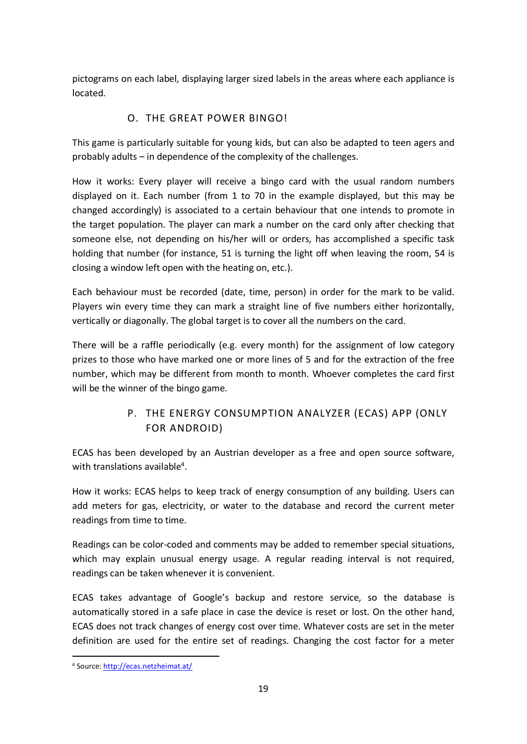pictograms on each label, displaying larger sized labels in the areas where each appliance is located.

## O. THE GREAT POWER BINGO!

This game is particularly suitable for young kids, but can also be adapted to teen agers and probably adults – in dependence of the complexity of the challenges.

How it works: Every player will receive a bingo card with the usual random numbers displayed on it. Each number (from 1 to 70 in the example displayed, but this may be changed accordingly) is associated to a certain behaviour that one intends to promote in the target population. The player can mark a number on the card only after checking that someone else, not depending on his/her will or orders, has accomplished a specific task holding that number (for instance, 51 is turning the light off when leaving the room, 54 is closing a window left open with the heating on, etc.).

Each behaviour must be recorded (date, time, person) in order for the mark to be valid. Players win every time they can mark a straight line of five numbers either horizontally, vertically or diagonally. The global target is to cover all the numbers on the card.

There will be a raffle periodically (e.g. every month) for the assignment of low category prizes to those who have marked one or more lines of 5 and for the extraction of the free number, which may be different from month to month. Whoever completes the card first will be the winner of the bingo game.

# P. THE ENERGY CONSUMPTION ANALYZER (ECAS) APP (ONLY FOR ANDROID)

ECAS has been developed by an Austrian developer as a free and open source software, with translations available<sup>4</sup>.

How it works: ECAS helps to keep track of energy consumption of any building. Users can add meters for gas, electricity, or water to the database and record the current meter readings from time to time.

Readings can be color-coded and comments may be added to remember special situations, which may explain unusual energy usage. A regular reading interval is not required, readings can be taken whenever it is convenient.

ECAS takes advantage of Google's backup and restore service, so the database is automatically stored in a safe place in case the device is reset or lost. On the other hand, ECAS does not track changes of energy cost over time. Whatever costs are set in the meter definition are used for the entire set of readings. Changing the cost factor for a meter

 <sup>4</sup> Source: http://ecas.netzheimat.at/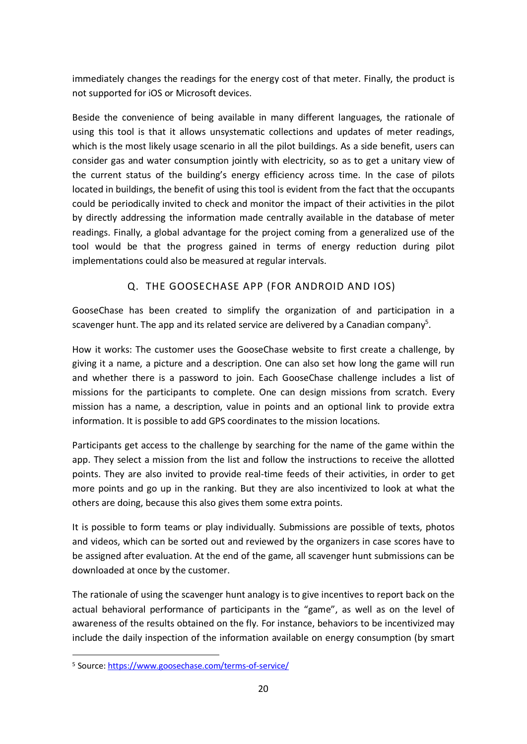immediately changes the readings for the energy cost of that meter. Finally, the product is not supported for iOS or Microsoft devices.

Beside the convenience of being available in many different languages, the rationale of using this tool is that it allows unsystematic collections and updates of meter readings, which is the most likely usage scenario in all the pilot buildings. As a side benefit, users can consider gas and water consumption jointly with electricity, so as to get a unitary view of the current status of the building's energy efficiency across time. In the case of pilots located in buildings, the benefit of using this tool is evident from the fact that the occupants could be periodically invited to check and monitor the impact of their activities in the pilot by directly addressing the information made centrally available in the database of meter readings. Finally, a global advantage for the project coming from a generalized use of the tool would be that the progress gained in terms of energy reduction during pilot implementations could also be measured at regular intervals.

## Q. THE GOOSECHASE APP (FOR ANDROID AND IOS)

GooseChase has been created to simplify the organization of and participation in a scavenger hunt. The app and its related service are delivered by a Canadian company<sup>5</sup>.

How it works: The customer uses the GooseChase website to first create a challenge, by giving it a name, a picture and a description. One can also set how long the game will run and whether there is a password to join. Each GooseChase challenge includes a list of missions for the participants to complete. One can design missions from scratch. Every mission has a name, a description, value in points and an optional link to provide extra information. It is possible to add GPS coordinates to the mission locations.

Participants get access to the challenge by searching for the name of the game within the app. They select a mission from the list and follow the instructions to receive the allotted points. They are also invited to provide real-time feeds of their activities, in order to get more points and go up in the ranking. But they are also incentivized to look at what the others are doing, because this also gives them some extra points.

It is possible to form teams or play individually. Submissions are possible of texts, photos and videos, which can be sorted out and reviewed by the organizers in case scores have to be assigned after evaluation. At the end of the game, all scavenger hunt submissions can be downloaded at once by the customer.

The rationale of using the scavenger hunt analogy is to give incentives to report back on the actual behavioral performance of participants in the "game", as well as on the level of awareness of the results obtained on the fly. For instance, behaviors to be incentivized may include the daily inspection of the information available on energy consumption (by smart

<sup>5</sup> Source: https://www.goosechase.com/terms-of-service/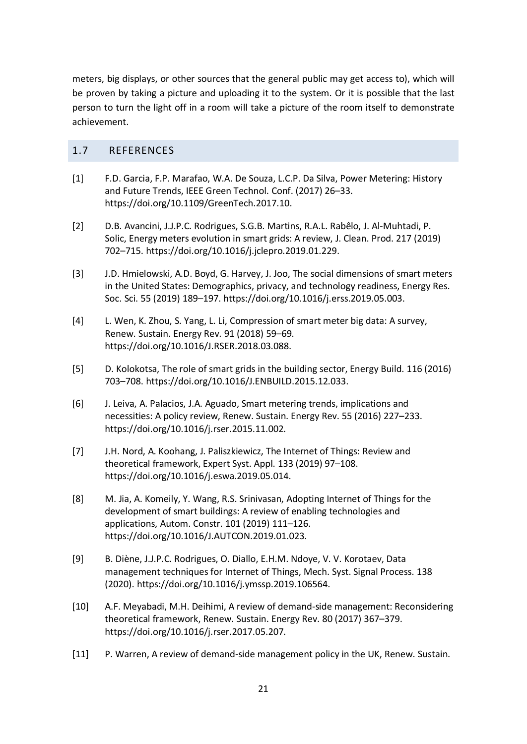meters, big displays, or other sources that the general public may get access to), which will be proven by taking a picture and uploading it to the system. Or it is possible that the last person to turn the light off in a room will take a picture of the room itself to demonstrate achievement.

## 1.7 REFERENCES

- [1] F.D. Garcia, F.P. Marafao, W.A. De Souza, L.C.P. Da Silva, Power Metering: History and Future Trends, IEEE Green Technol. Conf. (2017) 26–33. https://doi.org/10.1109/GreenTech.2017.10.
- [2] D.B. Avancini, J.J.P.C. Rodrigues, S.G.B. Martins, R.A.L. Rabêlo, J. Al-Muhtadi, P. Solic, Energy meters evolution in smart grids: A review, J. Clean. Prod. 217 (2019) 702–715. https://doi.org/10.1016/j.jclepro.2019.01.229.
- [3] J.D. Hmielowski, A.D. Boyd, G. Harvey, J. Joo, The social dimensions of smart meters in the United States: Demographics, privacy, and technology readiness, Energy Res. Soc. Sci. 55 (2019) 189–197. https://doi.org/10.1016/j.erss.2019.05.003.
- [4] L. Wen, K. Zhou, S. Yang, L. Li, Compression of smart meter big data: A survey, Renew. Sustain. Energy Rev. 91 (2018) 59–69. https://doi.org/10.1016/J.RSER.2018.03.088.
- [5] D. Kolokotsa, The role of smart grids in the building sector, Energy Build. 116 (2016) 703–708. https://doi.org/10.1016/J.ENBUILD.2015.12.033.
- [6] J. Leiva, A. Palacios, J.A. Aguado, Smart metering trends, implications and necessities: A policy review, Renew. Sustain. Energy Rev. 55 (2016) 227–233. https://doi.org/10.1016/j.rser.2015.11.002.
- [7] J.H. Nord, A. Koohang, J. Paliszkiewicz, The Internet of Things: Review and theoretical framework, Expert Syst. Appl. 133 (2019) 97–108. https://doi.org/10.1016/j.eswa.2019.05.014.
- [8] M. Jia, A. Komeily, Y. Wang, R.S. Srinivasan, Adopting Internet of Things for the development of smart buildings: A review of enabling technologies and applications, Autom. Constr. 101 (2019) 111–126. https://doi.org/10.1016/J.AUTCON.2019.01.023.
- [9] B. Diène, J.J.P.C. Rodrigues, O. Diallo, E.H.M. Ndoye, V. V. Korotaev, Data management techniques for Internet of Things, Mech. Syst. Signal Process. 138 (2020). https://doi.org/10.1016/j.ymssp.2019.106564.
- [10] A.F. Meyabadi, M.H. Deihimi, A review of demand-side management: Reconsidering theoretical framework, Renew. Sustain. Energy Rev. 80 (2017) 367–379. https://doi.org/10.1016/j.rser.2017.05.207.
- [11] P. Warren, A review of demand-side management policy in the UK, Renew. Sustain.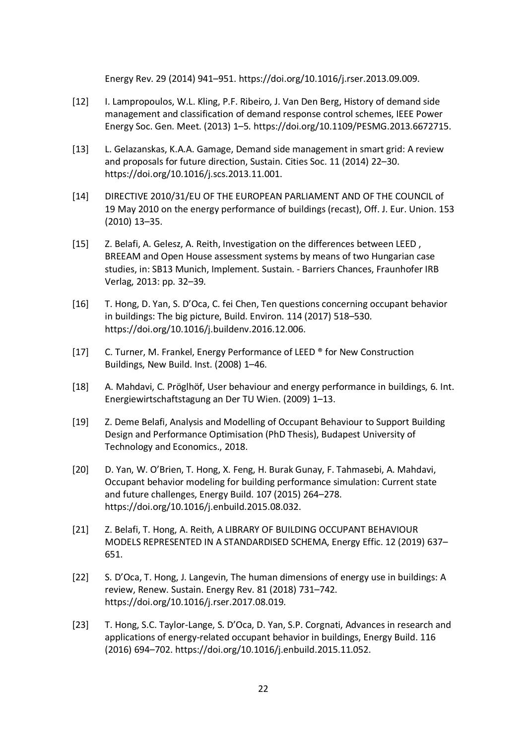Energy Rev. 29 (2014) 941–951. https://doi.org/10.1016/j.rser.2013.09.009.

- [12] I. Lampropoulos, W.L. Kling, P.F. Ribeiro, J. Van Den Berg, History of demand side management and classification of demand response control schemes, IEEE Power Energy Soc. Gen. Meet. (2013) 1–5. https://doi.org/10.1109/PESMG.2013.6672715.
- [13] L. Gelazanskas, K.A.A. Gamage, Demand side management in smart grid: A review and proposals for future direction, Sustain. Cities Soc. 11 (2014) 22–30. https://doi.org/10.1016/j.scs.2013.11.001.
- [14] DIRECTIVE 2010/31/EU OF THE EUROPEAN PARLIAMENT AND OF THE COUNCIL of 19 May 2010 on the energy performance of buildings (recast), Off. J. Eur. Union. 153 (2010) 13–35.
- [15] Z. Belafi, A. Gelesz, A. Reith, Investigation on the differences between LEED , BREEAM and Open House assessment systems by means of two Hungarian case studies, in: SB13 Munich, Implement. Sustain. - Barriers Chances, Fraunhofer IRB Verlag, 2013: pp. 32–39.
- [16] T. Hong, D. Yan, S. D'Oca, C. fei Chen, Ten questions concerning occupant behavior in buildings: The big picture, Build. Environ. 114 (2017) 518–530. https://doi.org/10.1016/j.buildenv.2016.12.006.
- [17] C. Turner, M. Frankel, Energy Performance of LEED ® for New Construction Buildings, New Build. Inst. (2008) 1–46.
- [18] A. Mahdavi, C. Pröglhöf, User behaviour and energy performance in buildings, 6. Int. Energiewirtschaftstagung an Der TU Wien. (2009) 1–13.
- [19] Z. Deme Belafi, Analysis and Modelling of Occupant Behaviour to Support Building Design and Performance Optimisation (PhD Thesis), Budapest University of Technology and Economics., 2018.
- [20] D. Yan, W. O'Brien, T. Hong, X. Feng, H. Burak Gunay, F. Tahmasebi, A. Mahdavi, Occupant behavior modeling for building performance simulation: Current state and future challenges, Energy Build. 107 (2015) 264–278. https://doi.org/10.1016/j.enbuild.2015.08.032.
- [21] Z. Belafi, T. Hong, A. Reith, A LIBRARY OF BUILDING OCCUPANT BEHAVIOUR MODELS REPRESENTED IN A STANDARDISED SCHEMA, Energy Effic. 12 (2019) 637– 651.
- [22] S. D'Oca, T. Hong, J. Langevin, The human dimensions of energy use in buildings: A review, Renew. Sustain. Energy Rev. 81 (2018) 731–742. https://doi.org/10.1016/j.rser.2017.08.019.
- [23] T. Hong, S.C. Taylor-Lange, S. D'Oca, D. Yan, S.P. Corgnati, Advances in research and applications of energy-related occupant behavior in buildings, Energy Build. 116 (2016) 694–702. https://doi.org/10.1016/j.enbuild.2015.11.052.